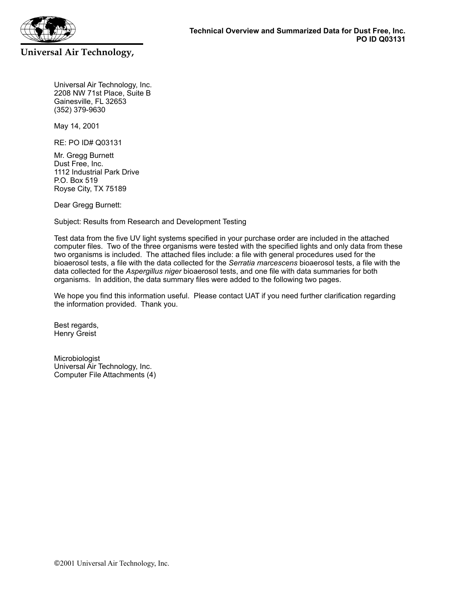

Universal Air Technology, Inc. 2208 NW 71st Place, Suite B Gainesville, FL 32653 (352) 379-9630

May 14, 2001

**Universal Air Technology,** 

RE: PO ID# Q03131

Mr. Gregg Burnett Dust Free, Inc. 1112 Industrial Park Drive P.O. Box 519 Royse City, TX 75189

Dear Gregg Burnett:

Subject: Results from Research and Development Testing

Test data from the five UV light systems specified in your purchase order are included in the attached computer files. Two of the three organisms were tested with the specified lights and only data from these two organisms is included. The attached files include: a file with general procedures used for the bioaerosol tests, a file with the data collected for the *Serratia marcescens* bioaerosol tests, a file with the data collected for the *Aspergillus niger* bioaerosol tests, and one file with data summaries for both organisms. In addition, the data summary files were added to the following two pages.

We hope you find this information useful. Please contact UAT if you need further clarification regarding the information provided. Thank you.

Best regards, Henry Greist

Microbiologist Universal Air Technology, Inc. Computer File Attachments (4)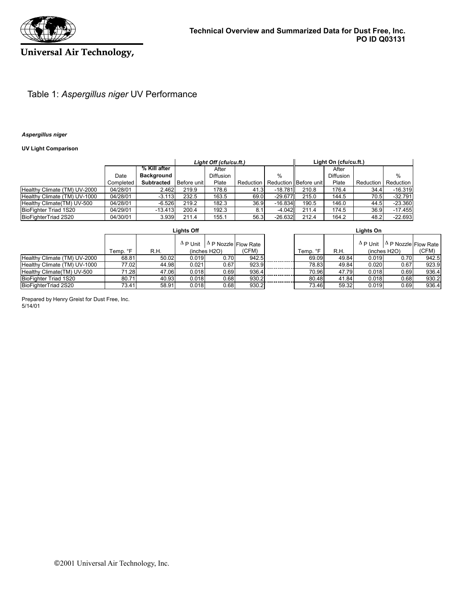

# **Universal Air Technology,**

### Table 1: *Aspergillus niger* UV Performance

#### *Aspergillus niger*

### **UV Light Comparison**

|                              |           |                   |             | Light Off (cfu/cu.ft.) |           |                       | Light On (cfu/cu.ft.) |                  |           |           |  |
|------------------------------|-----------|-------------------|-------------|------------------------|-----------|-----------------------|-----------------------|------------------|-----------|-----------|--|
|                              |           | % Kill after      |             | After                  |           |                       |                       | After            |           |           |  |
|                              | Date      | <b>Background</b> |             | <b>Diffusion</b>       |           | %                     |                       | <b>Diffusion</b> |           | %         |  |
|                              | Completed | <b>Subtracted</b> | Before unit | Plate                  | Reduction | Reduction Before unit |                       | Plate            | Reduction | Reduction |  |
| Healthy Climate (TM) UV-2000 | 04/28/01  | 2.462             | 219.9       | 178.6                  | 41.3      | $-18.781$             | 210.8                 | 176.4            | 34.4      | $-16.319$ |  |
| Healthy Climate (TM) UV-1000 | 04/28/01  | $-3.113$          | 232.5       | 163.5                  | 69.0      | $-29.677$             | 215.0                 | 144.5            | 70.5      | $-32.791$ |  |
| Healthy Climate (TM) UV-500  | 04/28/01  | $-6.526$          | 219.2       | 182.3                  | 36.9      | $-16.834$             | 190.5                 | 146.0            | 44.5      | $-23.360$ |  |
| BioFighter Triad 1S20        | 04/29/01  | $-13.413$         | 200.4       | 192.3                  |           | $-4.042$              | 211.4                 | 174.5            | 36.9      | $-17.455$ |  |
| BioFighterTriad 2S20         | 04/30/01  | 3.939             | 211.4       | 155.1                  | 56.3      | $-26.632$             | 212.4                 | 164.2            | 48.2      | $-22.693$ |  |

|                              | <b>Lights Off</b> |       |       |                                             |       |  | Lights On |       |       |                                             |       |
|------------------------------|-------------------|-------|-------|---------------------------------------------|-------|--|-----------|-------|-------|---------------------------------------------|-------|
|                              |                   |       |       | $\Delta P$ Unit $\Delta P$ Nozzle Flow Rate |       |  |           |       |       | $\Delta P$ Unit $\Delta P$ Nozzle Flow Rate |       |
|                              | Temp. °F          | R.H.  |       | (inches H2O)                                | (CFM) |  | Temp. °F  | R.H.  |       | (inches H2O)                                | (CFM) |
| Healthy Climate (TM) UV-2000 | 68.81             | 50.02 | 0.019 | 0.70                                        | 942.5 |  | 69.09     | 49.84 | 0.019 | 0.70                                        | 942.5 |
| Healthy Climate (TM) UV-1000 | 77.02             | 44.98 | 0.021 | 0.67                                        | 923.9 |  | 78.83     | 49.84 | 0.020 | 0.67                                        | 923.9 |
| Healthy Climate (TM) UV-500  | 71.28             | 47.06 | 0.018 | 0.69                                        | 936.4 |  | 70.96     | 47.79 | 0.018 | 0.69                                        | 936.4 |
| BioFighter Triad 1S20        | 80.71             | 40.93 | 0.018 | 0.68                                        | 930.2 |  | 80.48     | 41.84 | 0.018 | 0.68                                        | 930.2 |
| BioFighterTriad 2S20         | 73.41             | 58.91 | 0.018 | 0.68                                        | 930.2 |  | 73.46     | 59.32 | 0.019 | 0.69                                        | 936.4 |

5/14/01 Prepared by Henry Greist for Dust Free, Inc.